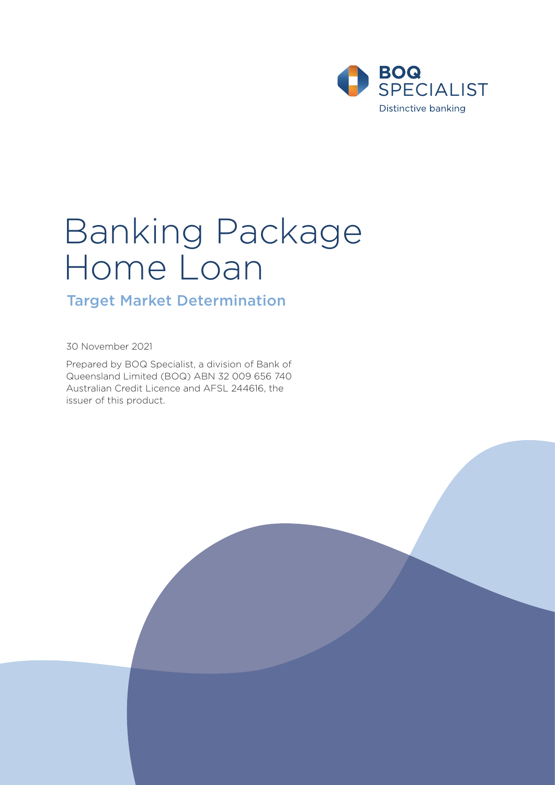

# Banking Package Home Loan

# Target Market Determination

30 November 2021

Prepared by BOQ Specialist, a division of Bank of Queensland Limited (BOQ) ABN 32 009 656 740 Australian Credit Licence and AFSL 244616, the issuer of this product.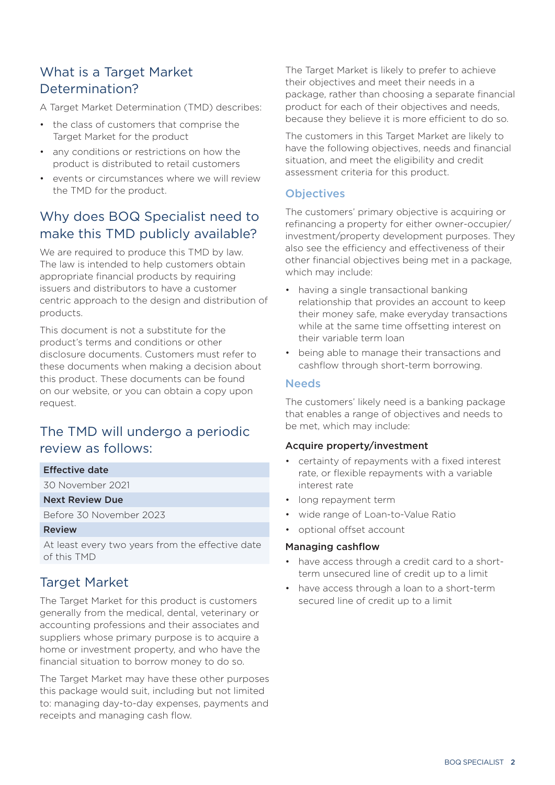# What is a Target Market Determination?

A Target Market Determination (TMD) describes:

- the class of customers that comprise the Target Market for the product
- any conditions or restrictions on how the product is distributed to retail customers
- events or circumstances where we will review the TMD for the product.

# Why does BOQ Specialist need to make this TMD publicly available?

We are required to produce this TMD by law. The law is intended to help customers obtain appropriate financial products by requiring issuers and distributors to have a customer centric approach to the design and distribution of products.

This document is not a substitute for the product's terms and conditions or other disclosure documents. Customers must refer to these documents when making a decision about this product. These documents can be found on our website, or you can obtain a copy upon request.

# The TMD will undergo a periodic review as follows:

### Effective date

30 November 2021

## Next Review Due

Before 30 November 2023

#### Review

At least every two years from the effective date of this TMD

# Target Market

The Target Market for this product is customers generally from the medical, dental, veterinary or accounting professions and their associates and suppliers whose primary purpose is to acquire a home or investment property, and who have the financial situation to borrow money to do so.

The Target Market may have these other purposes this package would suit, including but not limited to: managing day-to-day expenses, payments and receipts and managing cash flow.

The Target Market is likely to prefer to achieve their objectives and meet their needs in a package, rather than choosing a separate financial product for each of their objectives and needs, because they believe it is more efficient to do so.

The customers in this Target Market are likely to have the following objectives, needs and financial situation, and meet the eligibility and credit assessment criteria for this product.

## **Objectives**

The customers' primary objective is acquiring or refinancing a property for either owner-occupier/ investment/property development purposes. They also see the efficiency and effectiveness of their other financial objectives being met in a package, which may include:

- having a single transactional banking relationship that provides an account to keep their money safe, make everyday transactions while at the same time offsetting interest on their variable term loan
- being able to manage their transactions and cashflow through short-term borrowing.

## **Needs**

The customers' likely need is a banking package that enables a range of objectives and needs to be met, which may include:

### Acquire property/investment

- certainty of repayments with a fixed interest rate, or flexible repayments with a variable interest rate
- long repayment term
- wide range of Loan-to-Value Ratio
- optional offset account

### Managing cashflow

- have access through a credit card to a shortterm unsecured line of credit up to a limit
- have access through a loan to a short-term secured line of credit up to a limit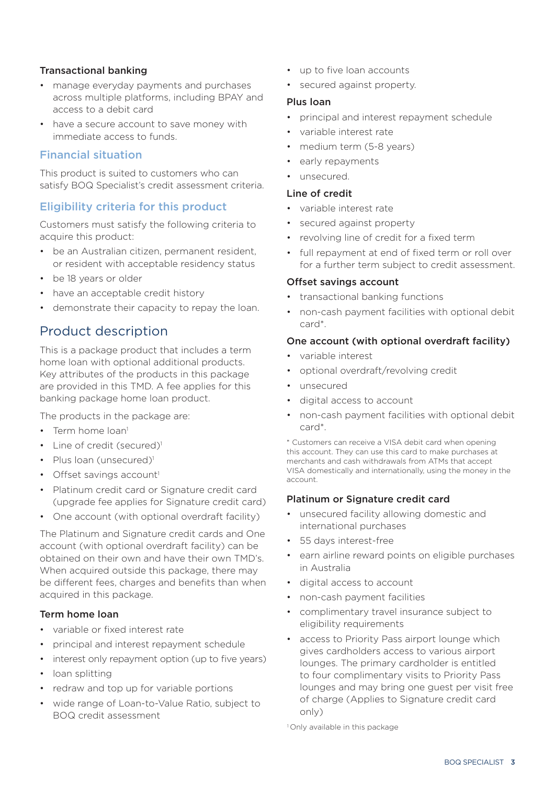## Transactional banking

- manage everyday payments and purchases across multiple platforms, including BPAY and access to a debit card
- have a secure account to save money with immediate access to funds.

## Financial situation

This product is suited to customers who can satisfy BOQ Specialist's credit assessment criteria.

## Eligibility criteria for this product

Customers must satisfy the following criteria to acquire this product:

- be an Australian citizen, permanent resident, or resident with acceptable residency status
- be 18 years or older
- have an acceptable credit history
- demonstrate their capacity to repay the loan.

# Product description

This is a package product that includes a term home loan with optional additional products. Key attributes of the products in this package are provided in this TMD. A fee applies for this banking package home loan product.

The products in the package are:

- Term home loan<sup>1</sup>
- Line of credit (secured)<sup>1</sup>
- Plus loan (unsecured)<sup>1</sup>
- Offset savings account<sup>1</sup>
- Platinum credit card or Signature credit card (upgrade fee applies for Signature credit card)
- One account (with optional overdraft facility)

The Platinum and Signature credit cards and One account (with optional overdraft facility) can be obtained on their own and have their own TMD's. When acquired outside this package, there may be different fees, charges and benefits than when acquired in this package.

### Term home loan

- variable or fixed interest rate
- principal and interest repayment schedule
- interest only repayment option (up to five years)
- loan splitting
- redraw and top up for variable portions
- wide range of Loan-to-Value Ratio, subject to BOQ credit assessment
- up to five loan accounts
- secured against property.

#### Plus loan

- principal and interest repayment schedule
- variable interest rate
- medium term (5-8 years)
- early repayments
- unsecured.

#### Line of credit

- variable interest rate
- secured against property
- revolving line of credit for a fixed term
- full repayment at end of fixed term or roll over for a further term subject to credit assessment.

## Offset savings account

- transactional banking functions
- non-cash payment facilities with optional debit card\*.

## One account (with optional overdraft facility)

- variable interest
- optional overdraft/revolving credit
- unsecured
- digital access to account
- non-cash payment facilities with optional debit card\*.

\* Customers can receive a VISA debit card when opening this account. They can use this card to make purchases at merchants and cash withdrawals from ATMs that accept VISA domestically and internationally, using the money in the account.

### Platinum or Signature credit card

- unsecured facility allowing domestic and international purchases
- 55 days interest-free
- earn airline reward points on eligible purchases in Australia
- digital access to account
- non-cash payment facilities
- complimentary travel insurance subject to eligibility requirements
- access to Priority Pass airport lounge which gives cardholders access to various airport lounges. The primary cardholder is entitled to four complimentary visits to Priority Pass lounges and may bring one guest per visit free of charge (Applies to Signature credit card only)

<sup>1</sup> Only available in this package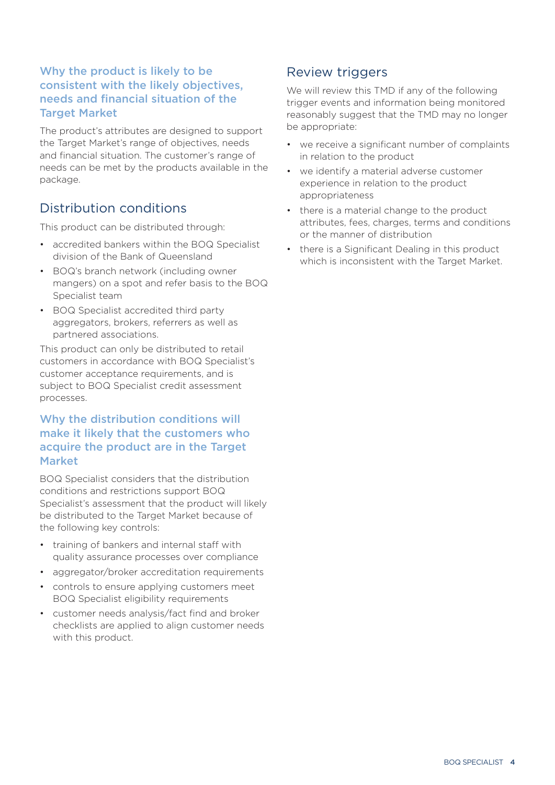# Why the product is likely to be consistent with the likely objectives, needs and financial situation of the Target Market

The product's attributes are designed to support the Target Market's range of objectives, needs and financial situation. The customer's range of needs can be met by the products available in the package.

# Distribution conditions

This product can be distributed through:

- accredited bankers within the BOQ Specialist division of the Bank of Queensland
- BOQ's branch network (including owner mangers) on a spot and refer basis to the BOQ Specialist team
- BOQ Specialist accredited third party aggregators, brokers, referrers as well as partnered associations.

This product can only be distributed to retail customers in accordance with BOQ Specialist's customer acceptance requirements, and is subject to BOQ Specialist credit assessment processes.

# Why the distribution conditions will make it likely that the customers who acquire the product are in the Target Market

BOQ Specialist considers that the distribution conditions and restrictions support BOQ Specialist's assessment that the product will likely be distributed to the Target Market because of the following key controls:

- training of bankers and internal staff with quality assurance processes over compliance
- aggregator/broker accreditation requirements
- controls to ensure applying customers meet BOQ Specialist eligibility requirements
- customer needs analysis/fact find and broker checklists are applied to align customer needs with this product.

# Review triggers

We will review this TMD if any of the following trigger events and information being monitored reasonably suggest that the TMD may no longer be appropriate:

- we receive a significant number of complaints in relation to the product
- we identify a material adverse customer experience in relation to the product appropriateness
- there is a material change to the product attributes, fees, charges, terms and conditions or the manner of distribution
- there is a Significant Dealing in this product which is inconsistent with the Target Market.